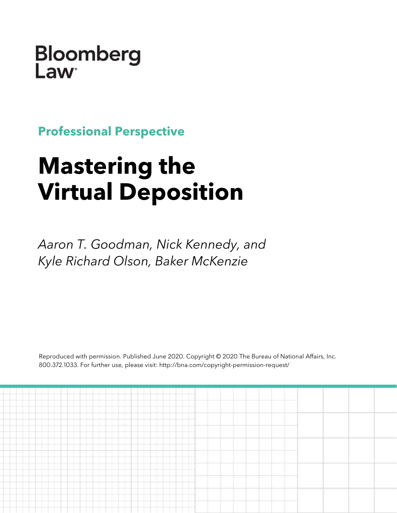Bloomberg **Law** 

**Professional Perspective**

# **Mastering the Virtual Deposition**

*Aaron T. Goodman, Nick Kennedy, and Kyle Richard Olson, Baker McKenzie*

Reproduced with permission. Published June 2020. Copyright © 2020 The Bureau of National Affairs, Inc. 800.372.1033. For further use, please visit: http://bna.com/copyright-permission-request/

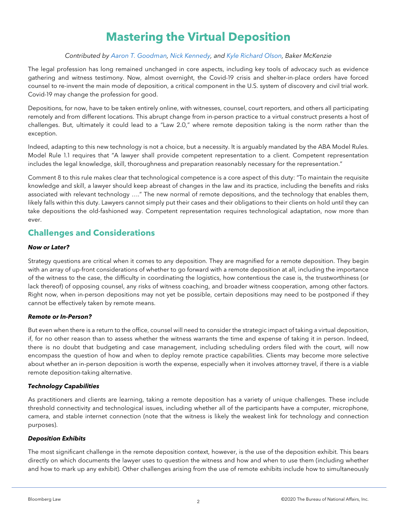# **Mastering the Virtual Deposition**

#### *Contributed by [Aaron T. Goodman,](https://www.bakermckenzie.com/en/people/g/goodman-aaron) [Nick Kennedy,](https://www.bakermckenzie.com/en/people/k/kennedy-nicholas-o) and [Kyle Richard Olson,](https://www.bakermckenzie.com/en/people/o/olson-kyle-richard) Baker McKenzie*

The legal profession has long remained unchanged in core aspects, including key tools of advocacy such as evidence gathering and witness testimony. Now, almost overnight, the Covid-19 crisis and shelter-in-place orders have forced counsel to re-invent the main mode of deposition, a critical component in the U.S. system of discovery and civil trial work. Covid-19 may change the profession for good.

Depositions, for now, have to be taken entirely online, with witnesses, counsel, court reporters, and others all participating remotely and from different locations. This abrupt change from in-person practice to a virtual construct presents a host of challenges. But, ultimately it could lead to a "Law 2.0," where remote deposition taking is the norm rather than the exception.

Indeed, adapting to this new technology is not a choice, but a necessity. It is arguably mandated by the ABA Model Rules. Model Rule 1.1 requires that "A lawyer shall provide competent representation to a client. Competent representation includes the legal knowledge, skill, thoroughness and preparation reasonably necessary for the representation."

Comment 8 to this rule makes clear that technological competence is a core aspect of this duty: "To maintain the requisite knowledge and skill, a lawyer should keep abreast of changes in the law and its practice, including the benefits and risks associated with relevant technology …." The new normal of remote depositions, and the technology that enables them, likely falls within this duty. Lawyers cannot simply put their cases and their obligations to their clients on hold until they can take depositions the old-fashioned way. Competent representation requires technological adaptation, now more than ever.

### **Challenges and Considerations**

#### *Now or Later?*

Strategy questions are critical when it comes to any deposition. They are magnified for a remote deposition. They begin with an array of up-front considerations of whether to go forward with a remote deposition at all, including the importance of the witness to the case, the difficulty in coordinating the logistics, how contentious the case is, the trustworthiness (or lack thereof) of opposing counsel, any risks of witness coaching, and broader witness cooperation, among other factors. Right now, when in-person depositions may not yet be possible, certain depositions may need to be postponed if they cannot be effectively taken by remote means.

#### *Remote or In-Person?*

But even when there is a return to the office, counsel will need to consider the strategic impact of taking a virtual deposition, if, for no other reason than to assess whether the witness warrants the time and expense of taking it in person. Indeed, there is no doubt that budgeting and case management, including scheduling orders filed with the court, will now encompass the question of how and when to deploy remote practice capabilities. Clients may become more selective about whether an in-person deposition is worth the expense, especially when it involves attorney travel, if there is a viable remote deposition-taking alternative.

#### *Technology Capabilities*

As practitioners and clients are learning, taking a remote deposition has a variety of unique challenges. These include threshold connectivity and technological issues, including whether all of the participants have a computer, microphone, camera, and stable internet connection (note that the witness is likely the weakest link for technology and connection purposes).

#### *Deposition Exhibits*

The most significant challenge in the remote deposition context, however, is the use of the deposition exhibit. This bears directly on which documents the lawyer uses to question the witness and how and when to use them (including whether and how to mark up any exhibit). Other challenges arising from the use of remote exhibits include how to simultaneously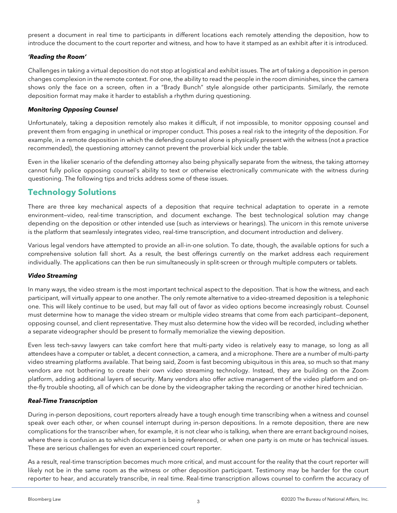present a document in real time to participants in different locations each remotely attending the deposition, how to introduce the document to the court reporter and witness, and how to have it stamped as an exhibit after it is introduced.

#### *'Reading the Room'*

Challenges in taking a virtual deposition do not stop at logistical and exhibit issues. The art of taking a deposition in person changes complexion in the remote context. For one, the ability to read the people in the room diminishes, since the camera shows only the face on a screen, often in a "Brady Bunch" style alongside other participants. Similarly, the remote deposition format may make it harder to establish a rhythm during questioning.

#### *Monitoring Opposing Counsel*

Unfortunately, taking a deposition remotely also makes it difficult, if not impossible, to monitor opposing counsel and prevent them from engaging in unethical or improper conduct. This poses a real risk to the integrity of the deposition. For example, in a remote deposition in which the defending counsel alone is physically present with the witness (not a practice recommended), the questioning attorney cannot prevent the proverbial kick under the table.

Even in the likelier scenario of the defending attorney also being physically separate from the witness, the taking attorney cannot fully police opposing counsel's ability to text or otherwise electronically communicate with the witness during questioning. The following tips and tricks address some of these issues.

# **Technology Solutions**

There are three key mechanical aspects of a deposition that require technical adaptation to operate in a remote environment—video, real-time transcription, and document exchange. The best technological solution may change depending on the deposition or other intended use (such as interviews or hearings). The unicorn in this remote universe is the platform that seamlessly integrates video, real-time transcription, and document introduction and delivery.

Various legal vendors have attempted to provide an all-in-one solution. To date, though, the available options for such a comprehensive solution fall short. As a result, the best offerings currently on the market address each requirement individually. The applications can then be run simultaneously in split-screen or through multiple computers or tablets.

#### *Video Streaming*

In many ways, the video stream is the most important technical aspect to the deposition. That is how the witness, and each participant, will virtually appear to one another. The only remote alternative to a video-streamed deposition is a telephonic one. This will likely continue to be used, but may fall out of favor as video options become increasingly robust. Counsel must determine how to manage the video stream or multiple video streams that come from each participant—deponent, opposing counsel, and client representative. They must also determine how the video will be recorded, including whether a separate videographer should be present to formally memorialize the viewing deposition.

Even less tech-savvy lawyers can take comfort here that multi-party video is relatively easy to manage, so long as all attendees have a computer or tablet, a decent connection, a camera, and a microphone. There are a number of multi-party video streaming platforms available. That being said, Zoom is fast becoming ubiquitous in this area, so much so that many vendors are not bothering to create their own video streaming technology. Instead, they are building on the Zoom platform, adding additional layers of security. Many vendors also offer active management of the video platform and onthe-fly trouble shooting, all of which can be done by the videographer taking the recording or another hired technician.

#### *Real-Time Transcription*

During in-person depositions, court reporters already have a tough enough time transcribing when a witness and counsel speak over each other, or when counsel interrupt during in-person depositions. In a remote deposition, there are new complications for the transcriber when, for example, it is not clear who is talking, when there are errant background noises, where there is confusion as to which document is being referenced, or when one party is on mute or has technical issues. These are serious challenges for even an experienced court reporter.

As a result, real-time transcription becomes much more critical, and must account for the reality that the court reporter will likely not be in the same room as the witness or other deposition participant. Testimony may be harder for the court reporter to hear, and accurately transcribe, in real time. Real-time transcription allows counsel to confirm the accuracy of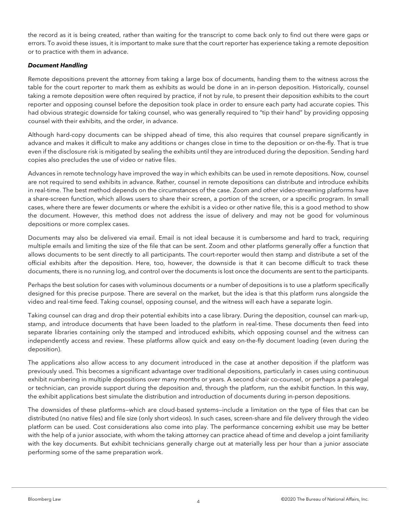the record as it is being created, rather than waiting for the transcript to come back only to find out there were gaps or errors. To avoid these issues, it is important to make sure that the court reporter has experience taking a remote deposition or to practice with them in advance.

#### *Document Handling*

Remote depositions prevent the attorney from taking a large box of documents, handing them to the witness across the table for the court reporter to mark them as exhibits as would be done in an in-person deposition. Historically, counsel taking a remote deposition were often required by practice, if not by rule, to present their deposition exhibits to the court reporter and opposing counsel before the deposition took place in order to ensure each party had accurate copies. This had obvious strategic downside for taking counsel, who was generally required to "tip their hand" by providing opposing counsel with their exhibits, and the order, in advance.

Although hard-copy documents can be shipped ahead of time, this also requires that counsel prepare significantly in advance and makes it difficult to make any additions or changes close in time to the deposition or on-the-fly. That is true even if the disclosure risk is mitigated by sealing the exhibits until they are introduced during the deposition. Sending hard copies also precludes the use of video or native files.

Advances in remote technology have improved the way in which exhibits can be used in remote depositions. Now, counsel are not required to send exhibits in advance. Rather, counsel in remote depositions can distribute and introduce exhibits in real-time. The best method depends on the circumstances of the case. Zoom and other video-streaming platforms have a share-screen function, which allows users to share their screen, a portion of the screen, or a specific program. In small cases, where there are fewer documents or where the exhibit is a video or other native file, this is a good method to show the document. However, this method does not address the issue of delivery and may not be good for voluminous depositions or more complex cases.

Documents may also be delivered via email. Email is not ideal because it is cumbersome and hard to track, requiring multiple emails and limiting the size of the file that can be sent. Zoom and other platforms generally offer a function that allows documents to be sent directly to all participants. The court-reporter would then stamp and distribute a set of the official exhibits after the deposition. Here, too, however, the downside is that it can become difficult to track these documents, there is no running log, and control over the documents is lost once the documents are sent to the participants.

Perhaps the best solution for cases with voluminous documents or a number of depositions is to use a platform specifically designed for this precise purpose. There are several on the market, but the idea is that this platform runs alongside the video and real-time feed. Taking counsel, opposing counsel, and the witness will each have a separate login.

Taking counsel can drag and drop their potential exhibits into a case library. During the deposition, counsel can mark-up, stamp, and introduce documents that have been loaded to the platform in real-time. These documents then feed into separate libraries containing only the stamped and introduced exhibits, which opposing counsel and the witness can independently access and review. These platforms allow quick and easy on-the-fly document loading (even during the deposition).

The applications also allow access to any document introduced in the case at another deposition if the platform was previously used. This becomes a significant advantage over traditional depositions, particularly in cases using continuous exhibit numbering in multiple depositions over many months or years. A second chair co-counsel, or perhaps a paralegal or technician, can provide support during the deposition and, through the platform, run the exhibit function. In this way, the exhibit applications best simulate the distribution and introduction of documents during in-person depositions.

The downsides of these platforms—which are cloud-based systems—include a limitation on the type of files that can be distributed (no native files) and file size (only short videos). In such cases, screen-share and file delivery through the video platform can be used. Cost considerations also come into play. The performance concerning exhibit use may be better with the help of a junior associate, with whom the taking attorney can practice ahead of time and develop a joint familiarity with the key documents. But exhibit technicians generally charge out at materially less per hour than a junior associate performing some of the same preparation work.